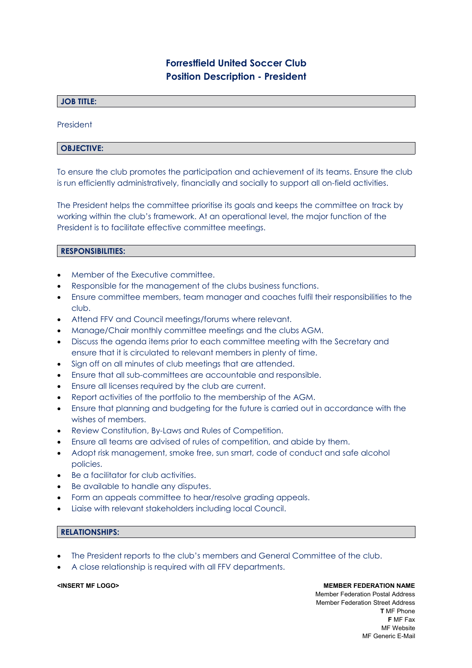# **Forrestfield United Soccer Club Position Description - President**

# **JOB TITLE:**

President

### **OBJECTIVE:**

To ensure the club promotes the participation and achievement of its teams. Ensure the club is run efficiently administratively, financially and socially to support all on-field activities.

The President helps the committee prioritise its goals and keeps the committee on track by working within the club's framework. At an operational level, the major function of the President is to facilitate effective committee meetings.

### **RESPONSIBILITIES:**

- Member of the Executive committee.
- Responsible for the management of the clubs business functions.
- Ensure committee members, team manager and coaches fulfil their responsibilities to the club.
- Attend FFV and Council meetings/forums where relevant.
- Manage/Chair monthly committee meetings and the clubs AGM.
- Discuss the agenda items prior to each committee meeting with the Secretary and ensure that it is circulated to relevant members in plenty of time.
- Sign off on all minutes of club meetings that are attended.
- Ensure that all sub-committees are accountable and responsible.
- Ensure all licenses required by the club are current.
- Report activities of the portfolio to the membership of the AGM.
- Ensure that planning and budgeting for the future is carried out in accordance with the wishes of members.
- Review Constitution, By-Laws and Rules of Competition.
- Ensure all teams are advised of rules of competition, and abide by them.
- Adopt risk management, smoke free, sun smart, code of conduct and safe alcohol policies.
- Be a facilitator for club activities.
- Be available to handle any disputes.
- Form an appeals committee to hear/resolve grading appeals.
- Liaise with relevant stakeholders including local Council.

### **RELATIONSHIPS:**

- The President reports to the club's members and General Committee of the club.
- A close relationship is required with all FFV departments.

**<INSERT MF LOGO> MEMBER FEDERATION NAME** Member Federation Postal Address Member Federation Street Address **T** MF Phone **F** MF Fax MF Website MF Generic E-Mail